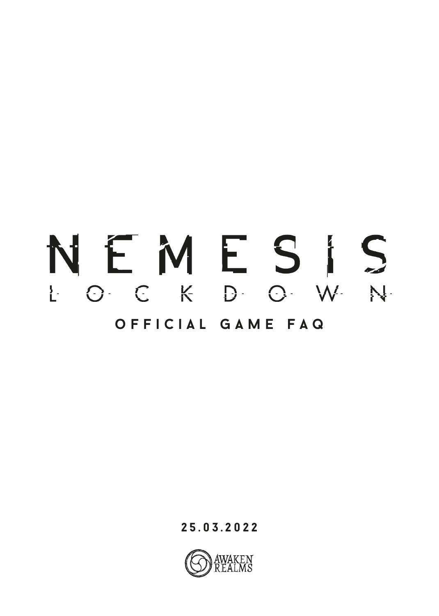# NEMESIS LOCKDOWN **official game FAq**

**25.03.2022**

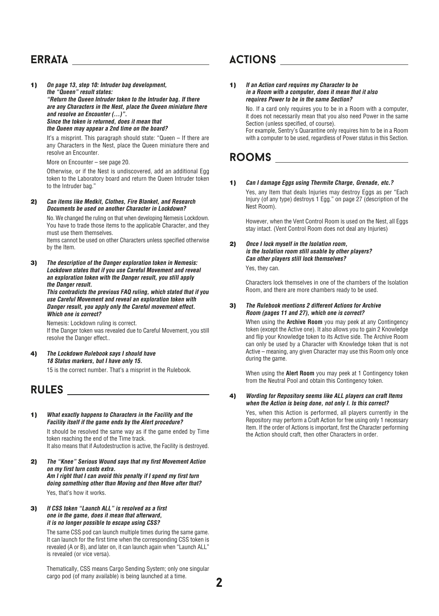## **Errata**

1) *On page 13, step 10: Intruder bag development, the "Queen" result states: "Return the Queen Intruder token to the Intruder bag. If there are any Characters in the Nest, place the Queen miniature there and resolve an Encounter (...)". Since the token is returned, does it mean that* 

*the Queen may appear a 2nd time on the board?*

It's a misprint. This paragraph should state: "Queen – If there are any Characters in the Nest, place the Queen miniature there and resolve an Encounter.

More on Encounter – see page 20.

Otherwise, or if the Nest is undiscovered, add an additional Egg token to the Laboratory board and return the Queen Intruder token to the Intruder bag."

2) *Can items like Medkit, Clothes, Fire Blanket, and Research Documents be used on another Character in Lockdown?*

No. We changed the ruling on that when developing Nemesis Lockdown. You have to trade those items to the applicable Character, and they must use them themselves.

Items cannot be used on other Characters unless specified otherwise by the Item.

3) *The description of the Danger exploration token in Nemesis: Lockdown states that if you use Careful Movement and reveal an exploration token with the Danger result, you still apply the Danger result.* 

*This contradicts the previous FAQ ruling, which stated that if you use Careful Movement and reveal an exploration token with Danger result, you apply only the Careful movement effect. Which one is correct?*

Nemesis: Lockdown ruling is correct. If the Danger token was revealed due to Careful Movement, you still resolve the Danger effect..

4) *The Lockdown Rulebook says I should have 18 Status markers, but I have only 15.*

15 is the correct number. That's a misprint in the Rulebook.

## **rules**

#### 1) *What exactly happens to Characters in the Facility and the Facility itself if the game ends by the Alert procedure?*

It should be resolved the same way as if the game ended by Time token reaching the end of the Time track. It also means that if Autodestruction is active, the Facility is destroyed.

- 2) *The "Knee" Serious Wound says that my first Movement Action on my first turn costs extra. Am I right that I can avoid this penalty if I spend my first turn doing something other than Moving and then Move after that?* Yes, that's how it works.
- 3) *If CSS token "Launch ALL" is resolved as a first one in the game, does it mean that afterward, it is no longer possible to escape using CSS?*

The same CSS pod can launch multiple times during the same game. It can launch for the first time when the corresponding CSS token is revealed (A or B), and later on, it can launch again when "Launch ALL" is revealed (or vice versa).

Thematically, CSS means Cargo Sending System; only one singular cargo pod (of many available) is being launched at a time.

# **Actions**

#### 1) *If an Action card requires my Character to be in a Room with a computer, does it mean that it also requires Power to be in the same Section?*

No. If a card only requires you to be in a Room with a computer, it does not necessarily mean that you also need Power in the same Section (unless specified, of course). For example, Sentry's Quarantine only requires him to be in a Room with a computer to be used, regardless of Power status in this Section.

# **rooms**

1) *Can I damage Eggs using Thermite Charge, Grenade, etc.?* Yes, any Item that deals Injuries may destroy Foos as per "Fach Injury (of any type) destroys 1 Egg." on page 27 (description of the Nest Room).

However, when the Vent Control Room is used on the Nest, all Eggs stay intact. (Vent Control Room does not deal any Injuries)

2) *Once I lock myself in the Isolation room, is the Isolation room still usable by other players? Can other players still lock themselves?* Yes, they can.

Characters lock themselves in one of the chambers of the Isolation Room, and there are more chambers ready to be used.

#### 3) *The Rulebook mentions 2 different Actions for Archive Room (pages 11 and 27), which one is correct?*

When using the **Archive Room** you may peek at any Contingency token (except the Active one). It also allows you to gain 2 Knowledge and flip your Knowledge token to its Active side. The Archive Room can only be used by a Character with Knowledge token that is not Active – meaning, any given Character may use this Room only once during the game.

When using the **Alert Room** you may peek at 1 Contingency token from the Neutral Pool and obtain this Contingency token.

4) *Wording for Repository seems like ALL players can craft Items when the Action is being done, not only I. Is this correct?*

Yes, when this Action is performed, all players currently in the Repository may perform a Craft Action for free using only 1 necessary Item. If the order of Actions is important, first the Character performing the Action should craft, then other Characters in order.